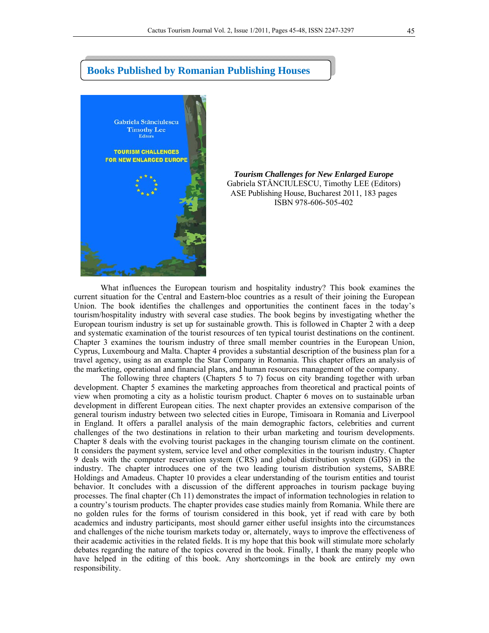

## **Books Published by Romanian Publishing Houses**

*Tourism Challenges for New Enlarged Europe*  Gabriela STĂNCIULESCU, Timothy LEE (Editors) ASE Publishing House, Bucharest 2011, 183 pages ISBN 978-606-505-402

What influences the European tourism and hospitality industry? This book examines the current situation for the Central and Eastern-bloc countries as a result of their joining the European Union. The book identifies the challenges and opportunities the continent faces in the today's tourism/hospitality industry with several case studies. The book begins by investigating whether the European tourism industry is set up for sustainable growth. This is followed in Chapter 2 with a deep and systematic examination of the tourist resources of ten typical tourist destinations on the continent. Chapter 3 examines the tourism industry of three small member countries in the European Union, Cyprus, Luxembourg and Malta. Chapter 4 provides a substantial description of the business plan for a travel agency, using as an example the Star Company in Romania. This chapter offers an analysis of the marketing, operational and financial plans, and human resources management of the company.

The following three chapters (Chapters 5 to 7) focus on city branding together with urban development. Chapter 5 examines the marketing approaches from theoretical and practical points of view when promoting a city as a holistic tourism product. Chapter 6 moves on to sustainable urban development in different European cities. The next chapter provides an extensive comparison of the general tourism industry between two selected cities in Europe, Timisoara in Romania and Liverpool in England. It offers a parallel analysis of the main demographic factors, celebrities and current challenges of the two destinations in relation to their urban marketing and tourism developments. Chapter 8 deals with the evolving tourist packages in the changing tourism climate on the continent. It considers the payment system, service level and other complexities in the tourism industry. Chapter 9 deals with the computer reservation system (CRS) and global distribution system (GDS) in the industry. The chapter introduces one of the two leading tourism distribution systems, SABRE Holdings and Amadeus. Chapter 10 provides a clear understanding of the tourism entities and tourist behavior. It concludes with a discussion of the different approaches in tourism package buying processes. The final chapter (Ch 11) demonstrates the impact of information technologies in relation to a country's tourism products. The chapter provides case studies mainly from Romania. While there are no golden rules for the forms of tourism considered in this book, yet if read with care by both academics and industry participants, most should garner either useful insights into the circumstances and challenges of the niche tourism markets today or, alternately, ways to improve the effectiveness of their academic activities in the related fields. It is my hope that this book will stimulate more scholarly debates regarding the nature of the topics covered in the book. Finally, I thank the many people who have helped in the editing of this book. Any shortcomings in the book are entirely my own responsibility.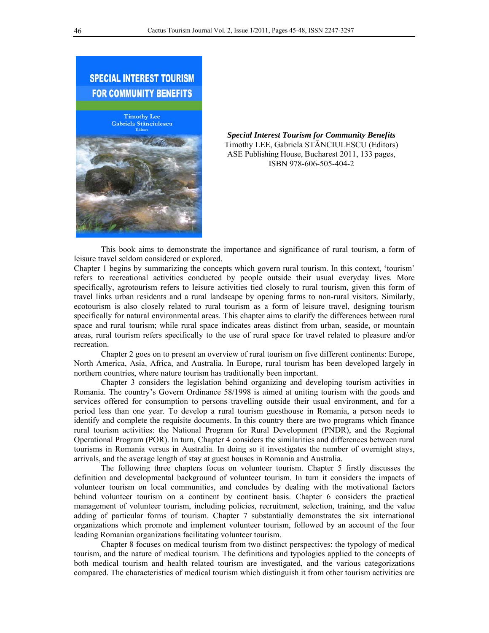

*Special Interest Tourism for Community Benefits* Timothy LEE, Gabriela STĂNCIULESCU (Editors) ASE Publishing House, Bucharest 2011, 133 pages, ISBN 978-606-505-404-2

This book aims to demonstrate the importance and significance of rural tourism, a form of leisure travel seldom considered or explored.

Chapter 1 begins by summarizing the concepts which govern rural tourism. In this context, 'tourism' refers to recreational activities conducted by people outside their usual everyday lives. More specifically, agrotourism refers to leisure activities tied closely to rural tourism, given this form of travel links urban residents and a rural landscape by opening farms to non-rural visitors. Similarly, ecotourism is also closely related to rural tourism as a form of leisure travel, designing tourism specifically for natural environmental areas. This chapter aims to clarify the differences between rural space and rural tourism; while rural space indicates areas distinct from urban, seaside, or mountain areas, rural tourism refers specifically to the use of rural space for travel related to pleasure and/or recreation.

Chapter 2 goes on to present an overview of rural tourism on five different continents: Europe, North America, Asia, Africa, and Australia. In Europe, rural tourism has been developed largely in northern countries, where nature tourism has traditionally been important.

Chapter 3 considers the legislation behind organizing and developing tourism activities in Romania. The country's Govern Ordinance 58/1998 is aimed at uniting tourism with the goods and services offered for consumption to persons travelling outside their usual environment, and for a period less than one year. To develop a rural tourism guesthouse in Romania, a person needs to identify and complete the requisite documents. In this country there are two programs which finance rural tourism activities: the National Program for Rural Development (PNDR), and the Regional Operational Program (POR). In turn, Chapter 4 considers the similarities and differences between rural tourisms in Romania versus in Australia. In doing so it investigates the number of overnight stays, arrivals, and the average length of stay at guest houses in Romania and Australia.

The following three chapters focus on volunteer tourism. Chapter 5 firstly discusses the definition and developmental background of volunteer tourism. In turn it considers the impacts of volunteer tourism on local communities, and concludes by dealing with the motivational factors behind volunteer tourism on a continent by continent basis. Chapter 6 considers the practical management of volunteer tourism, including policies, recruitment, selection, training, and the value adding of particular forms of tourism. Chapter 7 substantially demonstrates the six international organizations which promote and implement volunteer tourism, followed by an account of the four leading Romanian organizations facilitating volunteer tourism.

Chapter 8 focuses on medical tourism from two distinct perspectives: the typology of medical tourism, and the nature of medical tourism. The definitions and typologies applied to the concepts of both medical tourism and health related tourism are investigated, and the various categorizations compared. The characteristics of medical tourism which distinguish it from other tourism activities are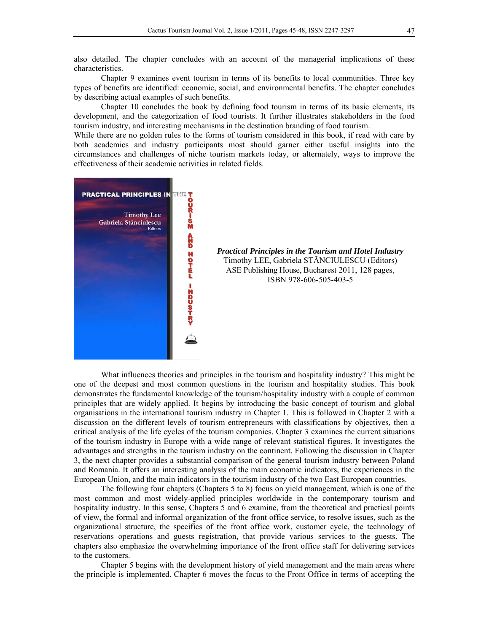also detailed. The chapter concludes with an account of the managerial implications of these characteristics.

Chapter 9 examines event tourism in terms of its benefits to local communities. Three key types of benefits are identified: economic, social, and environmental benefits. The chapter concludes by describing actual examples of such benefits.

Chapter 10 concludes the book by defining food tourism in terms of its basic elements, its development, and the categorization of food tourists. It further illustrates stakeholders in the food tourism industry, and interesting mechanisms in the destination branding of food tourism.

While there are no golden rules to the forms of tourism considered in this book, if read with care by both academics and industry participants most should garner either useful insights into the circumstances and challenges of niche tourism markets today, or alternately, ways to improve the effectiveness of their academic activities in related fields.



What influences theories and principles in the tourism and hospitality industry? This might be one of the deepest and most common questions in the tourism and hospitality studies. This book demonstrates the fundamental knowledge of the tourism/hospitality industry with a couple of common principles that are widely applied. It begins by introducing the basic concept of tourism and global organisations in the international tourism industry in Chapter 1. This is followed in Chapter 2 with a discussion on the different levels of tourism entrepreneurs with classifications by objectives, then a critical analysis of the life cycles of the tourism companies. Chapter 3 examines the current situations of the tourism industry in Europe with a wide range of relevant statistical figures. It investigates the advantages and strengths in the tourism industry on the continent. Following the discussion in Chapter 3, the next chapter provides a substantial comparison of the general tourism industry between Poland and Romania. It offers an interesting analysis of the main economic indicators, the experiences in the European Union, and the main indicators in the tourism industry of the two East European countries.

The following four chapters (Chapters 5 to 8) focus on yield management, which is one of the most common and most widely-applied principles worldwide in the contemporary tourism and hospitality industry. In this sense, Chapters 5 and 6 examine, from the theoretical and practical points of view, the formal and informal organization of the front office service, to resolve issues, such as the organizational structure, the specifics of the front office work, customer cycle, the technology of reservations operations and guests registration, that provide various services to the guests. The chapters also emphasize the overwhelming importance of the front office staff for delivering services to the customers.

Chapter 5 begins with the development history of yield management and the main areas where the principle is implemented. Chapter 6 moves the focus to the Front Office in terms of accepting the